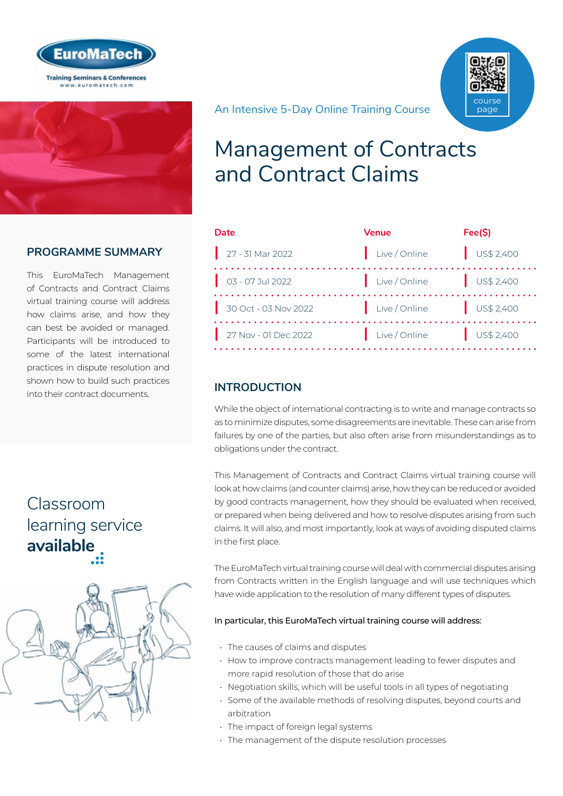



#### **PROGRAMME SUMMARY**

This EuroMaTech Management of Contracts and Contract Claims virtual training course will address how claims arise, and how they can best be avoided or managed. Participants will be introduced to some of the latest international practices in dispute resolution and shown how to build such practices into their contract documents.

## Classroom [learning service](https://www.euromatech.com/seminars/mamanagement-of-contracts-and-contract-claims/)  **available**



An Intensive 5-Day Online Training Course



| Date                           | <b>Venue</b>             | Fee(S)                   |
|--------------------------------|--------------------------|--------------------------|
| $\Big $ 27 - 31 Mar 2022       | Live / Online            | US\$2,400                |
| $\frac{1}{2}$ 03 - 07 Jul 2022 | Live / Online US\$ 2,400 |                          |
| 30 Oct - 03 Nov 2022           | Live / Online            | US\$2,400                |
| 27 Nov - 01 Dec 2022           | Live / Online            | $\frac{1}{2}$ US\$ 2,400 |

#### **INTRODUCTION**

While the object of international contracting is to write and manage contracts so as to minimize disputes, some disagreements are inevitable. These can arise from failures by one of the parties, but also often arise from misunderstandings as to obligations under the contract.

This Management of Contracts and Contract Claims virtual training course will look at how claims (and counter claims) arise, how they can be reduced or avoided by good contracts management, how they should be evaluated when received, or prepared when being delivered and how to resolve disputes arising from such claims. It will also, and most importantly, look at ways of avoiding disputed claims in the first place.

The EuroMaTech virtual training course will deal with commercial disputes arising from Contracts written in the English language and will use techniques which have wide application to the resolution of many different types of disputes.

#### In particular, this EuroMaTech virtual training course will address:

- The causes of claims and disputes
- How to improve contracts management leading to fewer disputes and more rapid resolution of those that do arise
- Negotiation skills, which will be useful tools in all types of negotiating
- Some of the available methods of resolving disputes, beyond courts and arbitration
- The impact of foreign legal systems
- The management of the dispute resolution processes

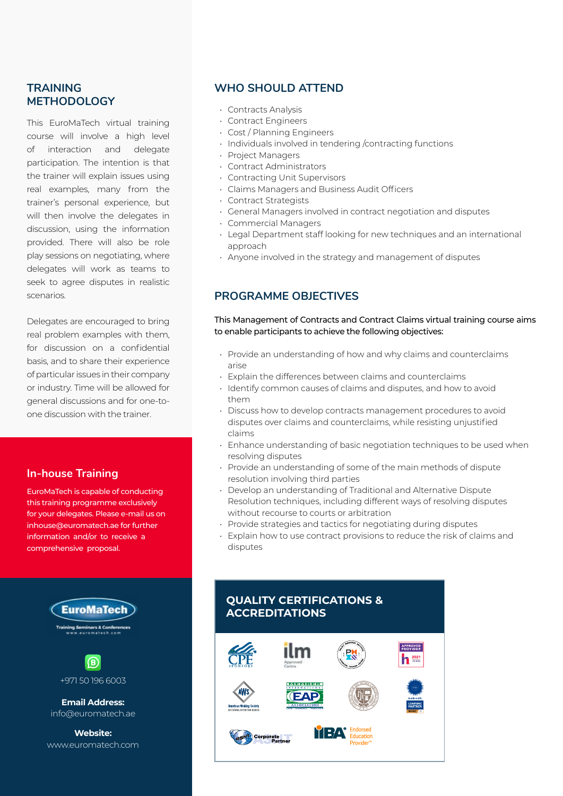#### **TRAINING METHODOLOGY**

This EuroMaTech virtual training course will involve a high level of interaction and delegate participation. The intention is that the trainer will explain issues using real examples, many from the trainer's personal experience, but will then involve the delegates in discussion, using the information provided. There will also be role play sessions on negotiating, where delegates will work as teams to seek to agree disputes in realistic scenarios.

Delegates are encouraged to bring real problem examples with them, for discussion on a confidential basis, and to share their experience of particular issues in their company or industry. Time will be allowed for general discussions and for one-toone discussion with the trainer.

#### **In-house Training**

EuroMaTech is capable of conducting this training programme exclusively for your delegates. Please e-mail us on inhouse@euromatech.ae for further information and/or to receive a comprehensive proposal.



+971 50 196 6003

**Email Address:** info@euromatech.ae

**Website:** www.euromatech.com

#### **WHO SHOULD ATTEND**

- Contracts Analysis
- Contract Engineers
- Cost / Planning Engineers
- Individuals involved in tendering /contracting functions
- Project Managers
- Contract Administrators
- Contracting Unit Supervisors
- Claims Managers and Business Audit Officers
- Contract Strategists
- General Managers involved in contract negotiation and disputes
- Commercial Managers
- Legal Department staff looking for new techniques and an international approach
- Anyone involved in the strategy and management of disputes

#### **PROGRAMME OBJECTIVES**

This Management of Contracts and Contract Claims virtual training course aims to enable participants to achieve the following objectives:

- Provide an understanding of how and why claims and counterclaims arise
- Explain the differences between claims and counterclaims
- Identify common causes of claims and disputes, and how to avoid them
- Discuss how to develop contracts management procedures to avoid disputes over claims and counterclaims, while resisting unjustified claims
- Enhance understanding of basic negotiation techniques to be used when resolving disputes
- Provide an understanding of some of the main methods of dispute resolution involving third parties
- Develop an understanding of Traditional and Alternative Dispute Resolution techniques, including different ways of resolving disputes without recourse to courts or arbitration
- Provide strategies and tactics for negotiating during disputes
- Explain how to use contract provisions to reduce the risk of claims and disputes

#### **QUALITY CERTIFICATIONS & ACCREDITATIONS**

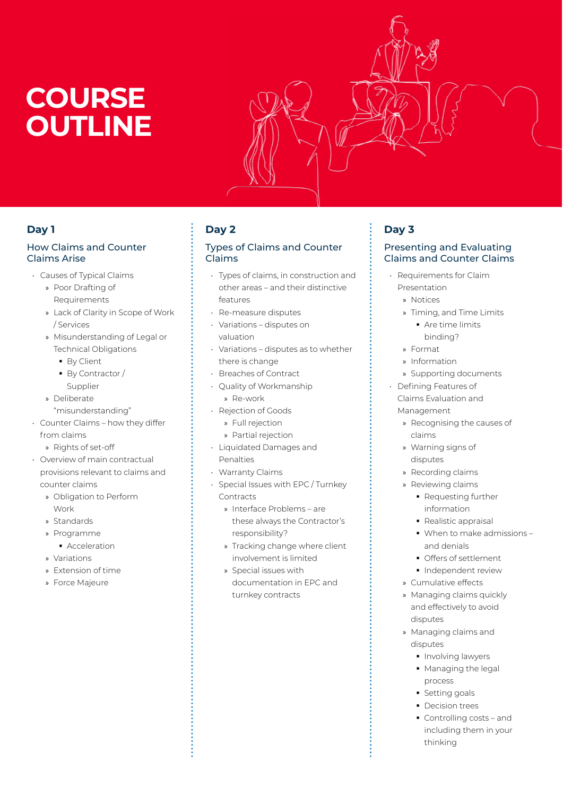# **COURSE OUTLINE**



#### **Day 1**

#### How Claims and Counter Claims Arise

- Causes of Typical Claims
	- » Poor Drafting of Requirements
	- » Lack of Clarity in Scope of Work / Services
	- » Misunderstanding of Legal or Technical Obligations
		- **By Client**
		- By Contractor / Supplier
	- » Deliberate "misunderstanding"
- Counter Claims how they differ from claims

» Rights of set-off

- Overview of main contractual provisions relevant to claims and counter claims
	- » Obligation to Perform Work
	- » Standards
	- » Programme
	- **Acceleration**
	- » Variations
	- » Extension of time
	- » Force Majeure

### **Day 2**

#### Types of Claims and Counter Claims

- Types of claims, in construction and other areas – and their distinctive features
- Re-measure disputes
- Variations disputes on valuation
- Variations disputes as to whether there is change
- Breaches of Contract
- Quality of Workmanship » Re-work
- Rejection of Goods
	- » Full rejection
	- » Partial rejection
- Liquidated Damages and Penalties
- Warranty Claims
- Special Issues with EPC / Turnkey Contracts
	- » Interface Problems are these always the Contractor's responsibility?
	- » Tracking change where client involvement is limited
	- » Special issues with documentation in EPC and turnkey contracts

### **Day 3**

#### Presenting and Evaluating Claims and Counter Claims

- Requirements for Claim Presentation
	- » Notices
	- » Timing, and Time Limits
		- Are time limits binding?
	- » Format
	- » Information
	- » Supporting documents
- Defining Features of Claims Evaluation and Management
	- » Recognising the causes of claims
	- » Warning signs of disputes
	- » Recording claims
	- » Reviewing claims
		- Requesting further information
		- Realistic appraisal
		- When to make admissions and denials
		- **Offers of settlement**
		- **Independent review**
	- » Cumulative effects
	- » Managing claims quickly and effectively to avoid disputes
	- » Managing claims and disputes
		- **Involving lawyers**
		- **Managing the legal** process
		- **Setting goals**
		- **Decision trees**
		- Controlling costs and including them in your thinking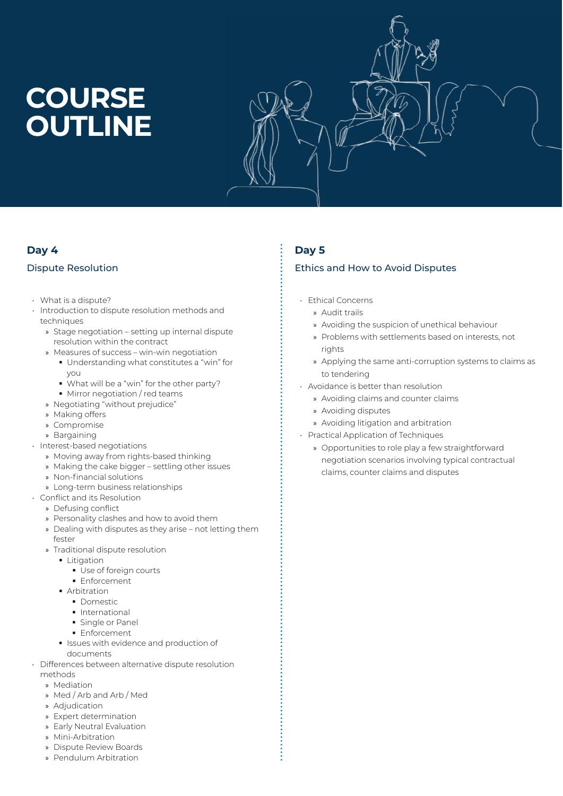# **COURSE OUTLINE**



#### **Day 4 Day 5**

- What is a dispute?
- Introduction to dispute resolution methods and techniques
	- » Stage negotiation setting up internal dispute resolution within the contract
	- » Measures of success win-win negotiation
		- Understanding what constitutes a "win" for you
		- What will be a "win" for the other party?
		- **Mirror negotiation / red teams**
	- » Negotiating "without prejudice"
	- » Making offers
	- » Compromise
	- » Bargaining
- Interest-based negotiations
	- » Moving away from rights-based thinking
	- » Making the cake bigger settling other issues
	- » Non-financial solutions
	- » Long-term business relationships
- Conflict and its Resolution
	- » Defusing conflict
		- » Personality clashes and how to avoid them
		- » Dealing with disputes as they arise not letting them fester
		- » Traditional dispute resolution
		- Litigation
			- Use of foreign courts
			- **Enforcement**
			- **Arbitration** 
				- **•** Domestic
				- **International**
				- **Single or Panel**
				- **Enforcement**
			- **Issues with evidence and production of** documents
- Differences between alternative dispute resolution methods
	- » Mediation
	- » Med / Arb and Arb / Med
	- » Adjudication
	- » Expert determination
	- » Early Neutral Evaluation
	- » Mini-Arbitration
	- » Dispute Review Boards
	- » Pendulum Arbitration

#### Dispute Resolution **Ethics and How to Avoid Disputes**

- Ethical Concerns
	- » Audit trails
	- » Avoiding the suspicion of unethical behaviour
	- » Problems with settlements based on interests, not rights
	- » Applying the same anti-corruption systems to claims as to tendering
- Avoidance is better than resolution
	- » Avoiding claims and counter claims
	- » Avoiding disputes
	- » Avoiding litigation and arbitration
- Practical Application of Techniques
	- » Opportunities to role play a few straightforward negotiation scenarios involving typical contractual claims, counter claims and disputes